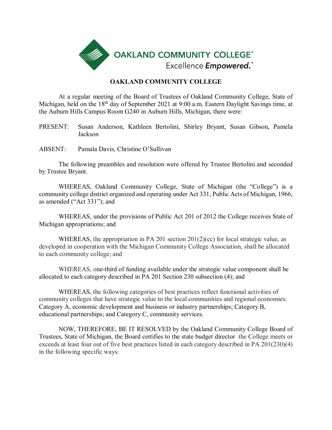

### **OAKLAND COMMUNITY COLLEGE**

At a regular meeting of the Board of Trustees of Oakland Community College, State of Michigan, held on the 18<sup>th</sup> day of September 2021 at 9:00 a.m. Eastern Daylight Savings time, at the Auburn Hills Campus Room G240 in Auburn Hills, Michigan, there were:

PRESENT: Susan Anderson, Kathleen Bertolini, Shirley Bryant, Susan Gibson, Pamela Jackson

ABSENT: Pamala Davis, Christine O'Sullivan

The following preambles and resolution were offered by Trustee Bertolini and seconded by Trustee Bryant.

WHEREAS, Oakland Community College, State of Michigan (the "College") is a community college district organized and operating under Act 331, Public Acts of Michigan, 1966, as amended ("Act 331"); and

WHEREAS, under the provisions of Public Act 201 of 2012 the College receives State of Michigan appropriations; and

WHEREAS, the appropriation in PA 201 section 201(2)(cc) for local strategic value, as developed in cooperation with the Michigan Community College Association, shall be allocated to each community college; and

WHEREAS, one-third of funding available under the strategic value component shall be allocated to each category described in PA 201 Section 230 subsection (4); and

WHEREAS, the following categories of best practices reflect functional activities of community colleges that have strategic value to the local communities and regional economies: Category A, economic development and business or industry partnerships; Category B, educational partnerships; and Category C, community services.

NOW, THEREFORE, BE IT RESOLVED by the Oakland Community College Board of Trustees, State of Michigan, the Board certifies to the state budget director the College meets or exceeds at least four out of five best practices listed in each category described in PA 201(230)(4) in the following specific ways: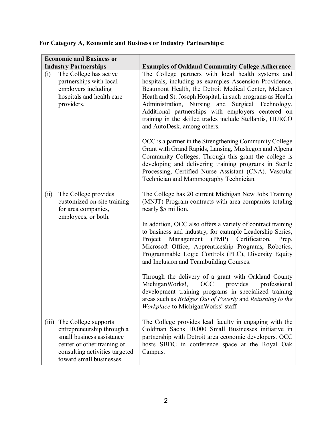# **For Category A, Economic and Business or Industry Partnerships:**

| <b>Economic and Business or</b> |                                                                                                                                                                              |                                                                                                                                                                                                                                                                                                                                                                                                                                                                                                                                                                                                                                                                                                                                                                                  |
|---------------------------------|------------------------------------------------------------------------------------------------------------------------------------------------------------------------------|----------------------------------------------------------------------------------------------------------------------------------------------------------------------------------------------------------------------------------------------------------------------------------------------------------------------------------------------------------------------------------------------------------------------------------------------------------------------------------------------------------------------------------------------------------------------------------------------------------------------------------------------------------------------------------------------------------------------------------------------------------------------------------|
| <b>Industry Partnerships</b>    |                                                                                                                                                                              | <b>Examples of Oakland Community College Adherence</b>                                                                                                                                                                                                                                                                                                                                                                                                                                                                                                                                                                                                                                                                                                                           |
| (i)                             | The College has active<br>partnerships with local<br>employers including<br>hospitals and health care<br>providers.                                                          | The College partners with local health systems and<br>hospitals, including as examples Ascension Providence,<br>Beaumont Health, the Detroit Medical Center, McLaren<br>Heath and St. Joseph Hospital, in such programs as Health<br>Administration, Nursing and Surgical Technology.<br>Additional partnerships with employers centered on<br>training in the skilled trades include Stellantis, HURCO<br>and AutoDesk, among others.<br>OCC is a partner in the Strengthening Community College<br>Grant with Grand Rapids, Lansing, Muskegon and Alpena<br>Community Colleges. Through this grant the college is<br>developing and delivering training programs in Sterile<br>Processing, Certified Nurse Assistant (CNA), Vascular<br>Technician and Mammography Technician. |
| (ii)                            | The College provides<br>customized on-site training<br>for area companies,<br>employees, or both.                                                                            | The College has 20 current Michigan New Jobs Training<br>(MNJT) Program contracts with area companies totaling<br>nearly \$5 million.<br>In addition, OCC also offers a variety of contract training<br>to business and industry, for example Leadership Series,<br>Management<br>(PMP) Certification,<br>Project<br>Prep,<br>Microsoft Office, Apprenticeship Programs, Robotics,<br>Programmable Logic Controls (PLC), Diversity Equity<br>and Inclusion and Teambuilding Courses.<br>Through the delivery of a grant with Oakland County<br>MichiganWorks!,<br>OCC<br>provides<br>professional<br>development training programs in specialized training<br>areas such as Bridges Out of Poverty and Returning to the<br>Workplace to MichiganWorks! staff.                    |
| (iii)                           | The College supports<br>entrepreneurship through a<br>small business assistance<br>center or other training or<br>consulting activities targeted<br>toward small businesses. | The College provides lead faculty in engaging with the<br>Goldman Sachs 10,000 Small Businesses initiative in<br>partnership with Detroit area economic developers. OCC<br>hosts SBDC in conference space at the Royal Oak<br>Campus.                                                                                                                                                                                                                                                                                                                                                                                                                                                                                                                                            |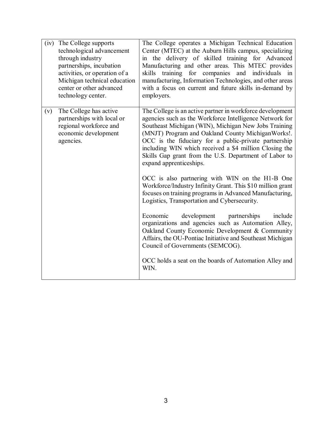| (iv) | The College supports<br>technological advancement<br>through industry<br>partnerships, incubation<br>activities, or operation of a<br>Michigan technical education<br>center or other advanced<br>technology center. | The College operates a Michigan Technical Education<br>Center (MTEC) at the Auburn Hills campus, specializing<br>in the delivery of skilled training for Advanced<br>Manufacturing and other areas. This MTEC provides<br>skills training for companies and individuals in<br>manufacturing, Information Technologies, and other areas<br>with a focus on current and future skills in-demand by<br>employers.                            |
|------|----------------------------------------------------------------------------------------------------------------------------------------------------------------------------------------------------------------------|-------------------------------------------------------------------------------------------------------------------------------------------------------------------------------------------------------------------------------------------------------------------------------------------------------------------------------------------------------------------------------------------------------------------------------------------|
| (v)  | The College has active<br>partnerships with local or<br>regional workforce and<br>economic development<br>agencies.                                                                                                  | The College is an active partner in workforce development<br>agencies such as the Workforce Intelligence Network for<br>Southeast Michigan (WIN), Michigan New Jobs Training<br>(MNJT) Program and Oakland County Michigan Works!.<br>OCC is the fiduciary for a public-private partnership<br>including WIN which received a \$4 million Closing the<br>Skills Gap grant from the U.S. Department of Labor to<br>expand apprenticeships. |
|      |                                                                                                                                                                                                                      | OCC is also partnering with WIN on the H1-B One<br>Workforce/Industry Infinity Grant. This \$10 million grant<br>focuses on training programs in Advanced Manufacturing,<br>Logistics, Transportation and Cybersecurity.                                                                                                                                                                                                                  |
|      |                                                                                                                                                                                                                      | development<br>partnerships<br>include<br>Economic<br>organizations and agencies such as Automation Alley,<br>Oakland County Economic Development & Community<br>Affairs, the OU-Pontiac Initiative and Southeast Michigan<br>Council of Governments (SEMCOG).                                                                                                                                                                            |
|      |                                                                                                                                                                                                                      | OCC holds a seat on the boards of Automation Alley and<br>WIN.                                                                                                                                                                                                                                                                                                                                                                            |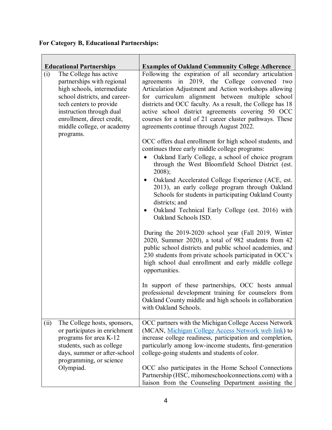## **For Category B, Educational Partnerships:**

| <b>Educational Partnerships</b>                                                                                                                                                                                                               | <b>Examples of Oakland Community College Adherence</b>                                                                                                                                                                                                                                                                                                                                                                                                                                                    |
|-----------------------------------------------------------------------------------------------------------------------------------------------------------------------------------------------------------------------------------------------|-----------------------------------------------------------------------------------------------------------------------------------------------------------------------------------------------------------------------------------------------------------------------------------------------------------------------------------------------------------------------------------------------------------------------------------------------------------------------------------------------------------|
| The College has active<br>(i)<br>partnerships with regional<br>high schools, intermediate<br>school districts, and career-<br>tech centers to provide<br>instruction through dual<br>enrollment, direct credit,<br>middle college, or academy | Following the expiration of all secondary articulation<br>agreements in 2019, the College convened two<br>Articulation Adjustment and Action workshops allowing<br>for curriculum alignment between multiple school<br>districts and OCC faculty. As a result, the College has 18<br>active school district agreements covering 50 OCC<br>courses for a total of 21 career cluster pathways. These<br>agreements continue through August 2022.                                                            |
| programs.                                                                                                                                                                                                                                     | OCC offers dual enrollment for high school students, and<br>continues three early middle college programs:<br>Oakland Early College, a school of choice program<br>through the West Bloomfield School District (est.<br>2008);<br>Oakland Accelerated College Experience (ACE, est.<br>2013), an early college program through Oakland<br>Schools for students in participating Oakland County<br>districts; and<br>Oakland Technical Early College (est. 2016) with<br>$\bullet$<br>Oakland Schools ISD. |
|                                                                                                                                                                                                                                               | During the 2019-2020 school year (Fall 2019, Winter<br>2020, Summer 2020), a total of 982 students from 42<br>public school districts and public school academies, and<br>230 students from private schools participated in OCC's<br>high school dual enrollment and early middle college<br>opportunities.<br>In support of these partnerships, OCC hosts annual<br>professional development training for counselors from<br>Oakland County middle and high schools in collaboration                     |
|                                                                                                                                                                                                                                               | with Oakland Schools.                                                                                                                                                                                                                                                                                                                                                                                                                                                                                     |
| The College hosts, sponsors,<br>(ii)<br>or participates in enrichment<br>programs for area K-12<br>students, such as college<br>days, summer or after-school<br>programming, or science<br>Olympiad.                                          | OCC partners with the Michigan College Access Network<br>(MCAN, Michigan College Access Network web link) to<br>increase college readiness, participation and completion,<br>particularly among low-income students, first-generation<br>college-going students and students of color.<br>OCC also participates in the Home School Connections<br>Partnership (HSC, mihomeschoolconnections.com) with a                                                                                                   |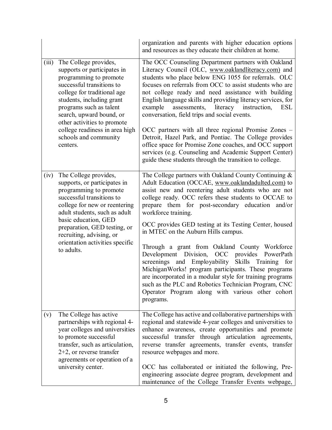|       |                                                                                                                                                                                                                                                                                                                                      | organization and parents with higher education options<br>and resources as they educate their children at home.                                                                                                                                                                                                                                                                                                                                                                                                                                                                                                                                                                                                                                                                                              |
|-------|--------------------------------------------------------------------------------------------------------------------------------------------------------------------------------------------------------------------------------------------------------------------------------------------------------------------------------------|--------------------------------------------------------------------------------------------------------------------------------------------------------------------------------------------------------------------------------------------------------------------------------------------------------------------------------------------------------------------------------------------------------------------------------------------------------------------------------------------------------------------------------------------------------------------------------------------------------------------------------------------------------------------------------------------------------------------------------------------------------------------------------------------------------------|
| (iii) | The College provides,<br>supports or participates in<br>programming to promote<br>successful transitions to<br>college for traditional age<br>students, including grant<br>programs such as talent<br>search, upward bound, or<br>other activities to promote<br>college readiness in area high<br>schools and community<br>centers. | The OCC Counseling Department partners with Oakland<br>Literacy Council (OLC, www.oaklandliteracy.com) and<br>students who place below ENG 1055 for referrals. OLC<br>focuses on referrals from OCC to assist students who are<br>not college ready and need assistance with building<br>English language skills and providing literacy services, for<br>literacy<br>assessments,<br>instruction,<br>example<br><b>ESL</b><br>conversation, field trips and social events.<br>OCC partners with all three regional Promise Zones -<br>Detroit, Hazel Park, and Pontiac. The College provides<br>office space for Promise Zone coaches, and OCC support<br>services (e.g. Counseling and Academic Support Center)<br>guide these students through the transition to college.                                  |
| (iv)  | The College provides,<br>supports, or participates in<br>programming to promote<br>successful transitions to<br>college for new or reentering<br>adult students, such as adult<br>basic education, GED<br>preparation, GED testing, or<br>recruiting, advising, or<br>orientation activities specific<br>to adults.                  | The College partners with Oakland County Continuing &<br>Adult Education (OCCAE, www.oaklandadulted.com) to<br>assist new and reentering adult students who are not<br>college ready. OCC refers these students to OCCAE to<br>prepare them for post-secondary education and/or<br>workforce training.<br>OCC provides GED testing at its Testing Center, housed<br>in MTEC on the Auburn Hills campus.<br>Through a grant from Oakland County Workforce<br>Development Division,<br>OCC provides PowerPath<br>screenings and Employability Skills Training for<br>MichiganWorks! program participants. These programs<br>are incorporated in a modular style for training programs<br>such as the PLC and Robotics Technician Program, CNC<br>Operator Program along with various other cohort<br>programs. |
| (v)   | The College has active<br>partnerships with regional 4-<br>year colleges and universities<br>to promote successful<br>transfer, such as articulation,<br>$2+2$ , or reverse transfer<br>agreements or operation of a<br>university center.                                                                                           | The College has active and collaborative partnerships with<br>regional and statewide 4-year colleges and universities to<br>enhance awareness, create opportunities and promote<br>successful transfer through articulation agreements,<br>reverse transfer agreements, transfer events, transfer<br>resource webpages and more.<br>OCC has collaborated or initiated the following, Pre-<br>engineering associate degree program, development and<br>maintenance of the College Transfer Events webpage,                                                                                                                                                                                                                                                                                                    |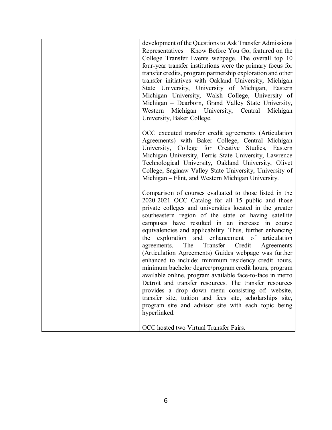| development of the Questions to Ask Transfer Admissions<br>Representatives – Know Before You Go, featured on the<br>College Transfer Events webpage. The overall top 10<br>four-year transfer institutions were the primary focus for<br>transfer credits, program partnership exploration and other<br>transfer initiatives with Oakland University, Michigan<br>State University, University of Michigan, Eastern<br>Michigan University, Walsh College, University of<br>Michigan - Dearborn, Grand Valley State University,<br>Western Michigan University, Central Michigan<br>University, Baker College.                                                                                                                                                                                                                                                                                                                                      |
|-----------------------------------------------------------------------------------------------------------------------------------------------------------------------------------------------------------------------------------------------------------------------------------------------------------------------------------------------------------------------------------------------------------------------------------------------------------------------------------------------------------------------------------------------------------------------------------------------------------------------------------------------------------------------------------------------------------------------------------------------------------------------------------------------------------------------------------------------------------------------------------------------------------------------------------------------------|
| OCC executed transfer credit agreements (Articulation<br>Agreements) with Baker College, Central Michigan<br>University, College for Creative Studies, Eastern<br>Michigan University, Ferris State University, Lawrence<br>Technological University, Oakland University, Olivet<br>College, Saginaw Valley State University, University of<br>Michigan – Flint, and Western Michigan University.                                                                                                                                                                                                                                                                                                                                                                                                                                                                                                                                                   |
| Comparison of courses evaluated to those listed in the<br>2020-2021 OCC Catalog for all 15 public and those<br>private colleges and universities located in the greater<br>southeastern region of the state or having satellite<br>campuses have resulted in an increase in course<br>equivalencies and applicability. Thus, further enhancing<br>exploration and enhancement of articulation<br>the<br>The<br>Transfer Credit<br>agreements.<br>Agreements<br>(Articulation Agreements) Guides webpage was further<br>enhanced to include: minimum residency credit hours,<br>minimum bachelor degree/program credit hours, program<br>available online, program available face-to-face in metro<br>Detroit and transfer resources. The transfer resources<br>provides a drop down menu consisting of: website,<br>transfer site, tuition and fees site, scholarships site,<br>program site and advisor site with each topic being<br>hyperlinked. |
| OCC hosted two Virtual Transfer Fairs.                                                                                                                                                                                                                                                                                                                                                                                                                                                                                                                                                                                                                                                                                                                                                                                                                                                                                                              |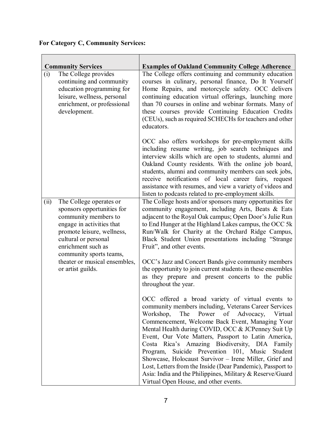## **For Category C, Community Services:**

| (i)  | <b>Community Services</b><br>The College provides<br>continuing and community<br>education programming for<br>leisure, wellness, personal<br>enrichment, or professional<br>development.                          | <b>Examples of Oakland Community College Adherence</b><br>The College offers continuing and community education<br>courses in culinary, personal finance, Do It Yourself<br>Home Repairs, and motorcycle safety. OCC delivers<br>continuing education virtual offerings, launching more<br>than 70 courses in online and webinar formats. Many of<br>these courses provide Continuing Education Credits<br>(CEUs), such as required SCHECHs for teachers and other<br>educators.                                                                                                                                                                                         |
|------|-------------------------------------------------------------------------------------------------------------------------------------------------------------------------------------------------------------------|--------------------------------------------------------------------------------------------------------------------------------------------------------------------------------------------------------------------------------------------------------------------------------------------------------------------------------------------------------------------------------------------------------------------------------------------------------------------------------------------------------------------------------------------------------------------------------------------------------------------------------------------------------------------------|
|      |                                                                                                                                                                                                                   | OCC also offers workshops for pre-employment skills<br>including resume writing, job search techniques and<br>interview skills which are open to students, alumni and<br>Oakland County residents. With the online job board,<br>students, alumni and community members can seek jobs,<br>receive notifications of local career fairs, request<br>assistance with resumes, and view a variety of videos and<br>listen to podcasts related to pre-employment skills.                                                                                                                                                                                                      |
| (ii) | The College operates or<br>sponsors opportunities for<br>community members to<br>engage in activities that<br>promote leisure, wellness,<br>cultural or personal<br>enrichment such as<br>community sports teams, | The College hosts and/or sponsors many opportunities for<br>community engagement, including Arts, Beats & Eats<br>adjacent to the Royal Oak campus; Open Door's Julie Run<br>to End Hunger at the Highland Lakes campus, the OCC 5k<br>Run/Walk for Charity at the Orchard Ridge Campus,<br>Black Student Union presentations including "Strange<br>Fruit", and other events.                                                                                                                                                                                                                                                                                            |
|      | theater or musical ensembles,<br>or artist guilds.                                                                                                                                                                | OCC's Jazz and Concert Bands give community members<br>the opportunity to join current students in these ensembles<br>as they prepare and present concerts to the public<br>throughout the year.                                                                                                                                                                                                                                                                                                                                                                                                                                                                         |
|      |                                                                                                                                                                                                                   | OCC offered a broad variety of virtual events to<br>community members including, Veterans Career Services<br>Workshop,<br>Power<br>of Advocacy,<br>The<br>Virtual<br>Commencement, Welcome Back Event, Managing Your<br>Mental Health during COVID, OCC & JCPenney Suit Up<br>Event, Our Vote Matters, Passport to Latin America,<br>Costa Rica's Amazing Biodiversity, DIA Family<br>Suicide Prevention 101, Music<br>Program,<br>Student<br>Showcase, Holocaust Survivor - Irene Miller, Grief and<br>Lost, Letters from the Inside (Dear Pandemic), Passport to<br>Asia: India and the Philippines, Military & Reserve/Guard<br>Virtual Open House, and other events. |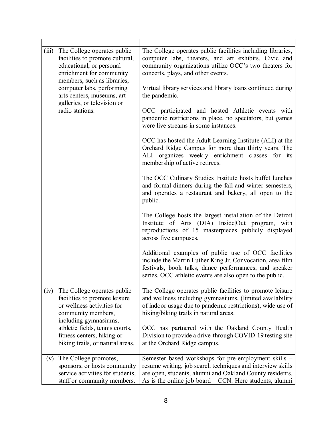| (iii) | The College operates public<br>facilities to promote cultural,<br>educational, or personal<br>enrichment for community<br>members, such as libraries,<br>computer labs, performing<br>arts centers, museums, art<br>galleries, or television or<br>radio stations. | The College operates public facilities including libraries,<br>computer labs, theaters, and art exhibits. Civic and<br>community organizations utilize OCC's two theaters for<br>concerts, plays, and other events.                       |
|-------|--------------------------------------------------------------------------------------------------------------------------------------------------------------------------------------------------------------------------------------------------------------------|-------------------------------------------------------------------------------------------------------------------------------------------------------------------------------------------------------------------------------------------|
|       |                                                                                                                                                                                                                                                                    | Virtual library services and library loans continued during<br>the pandemic.                                                                                                                                                              |
|       |                                                                                                                                                                                                                                                                    | OCC participated and hosted Athletic events with<br>pandemic restrictions in place, no spectators, but games<br>were live streams in some instances.                                                                                      |
|       |                                                                                                                                                                                                                                                                    | OCC has hosted the Adult Learning Institute (ALI) at the<br>Orchard Ridge Campus for more than thirty years. The<br>ALI organizes weekly enrichment classes for its<br>membership of active retirees.                                     |
|       |                                                                                                                                                                                                                                                                    | The OCC Culinary Studies Institute hosts buffet lunches<br>and formal dinners during the fall and winter semesters,<br>and operates a restaurant and bakery, all open to the<br>public.                                                   |
|       |                                                                                                                                                                                                                                                                    | The College hosts the largest installation of the Detroit<br>Institute of Arts (DIA) Inside Out program, with<br>reproductions of 15 masterpieces publicly displayed<br>across five campuses.                                             |
|       |                                                                                                                                                                                                                                                                    | Additional examples of public use of OCC facilities<br>include the Martin Luther King Jr. Convocation, area film<br>festivals, book talks, dance performances, and speaker<br>series. OCC athletic events are also open to the public.    |
| (iv)  | The College operates public<br>facilities to promote leisure<br>or wellness activities for<br>community members,<br>including gymnasiums,                                                                                                                          | The College operates public facilities to promote leisure<br>and wellness including gymnasiums, (limited availability<br>of indoor usage due to pandemic restrictions), wide use of<br>hiking/biking trails in natural areas.             |
|       | athletic fields, tennis courts,<br>fitness centers, hiking or<br>biking trails, or natural areas.                                                                                                                                                                  | OCC has partnered with the Oakland County Health<br>Division to provide a drive-through COVID-19 testing site<br>at the Orchard Ridge campus.                                                                                             |
| (v)   | The College promotes,<br>sponsors, or hosts community<br>service activities for students,<br>staff or community members.                                                                                                                                           | Semester based workshops for pre-employment skills -<br>resume writing, job search techniques and interview skills<br>are open, students, alumni and Oakland County residents.<br>As is the online job board – CCN. Here students, alumni |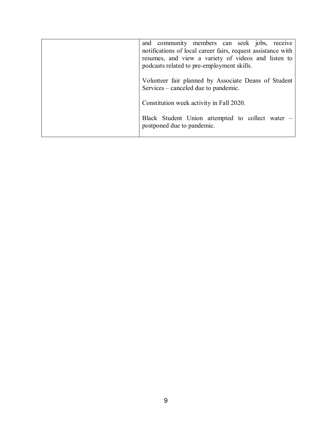| and community members can seek jobs, receive<br>notifications of local career fairs, request assistance with<br>resumes, and view a variety of videos and listen to<br>podcasts related to pre-employment skills. |
|-------------------------------------------------------------------------------------------------------------------------------------------------------------------------------------------------------------------|
| Volunteer fair planned by Associate Deans of Student<br>Services – canceled due to pandemic.                                                                                                                      |
| Constitution week activity in Fall 2020.                                                                                                                                                                          |
| Black Student Union attempted to collect water –<br>postponed due to pandemic.                                                                                                                                    |